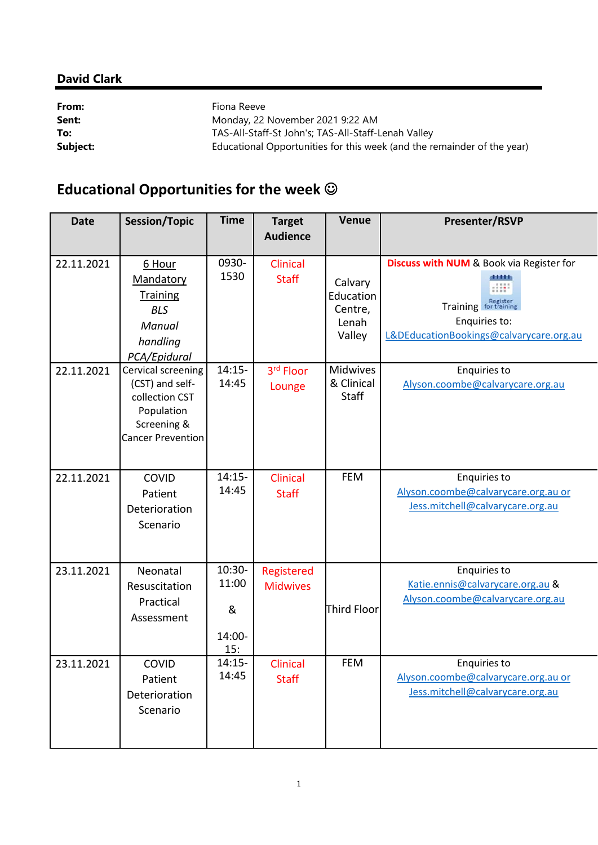## **David Clark**

| From:    | Fiona Reeve                                                             |
|----------|-------------------------------------------------------------------------|
| Sent:    | Monday, 22 November 2021 9:22 AM                                        |
| To:      | TAS-All-Staff-St John's; TAS-All-Staff-Lenah Valley                     |
| Subject: | Educational Opportunities for this week (and the remainder of the year) |

## **Educational Opportunities for the week**

| <b>Date</b> | <b>Session/Topic</b>                                                                                             | <b>Time</b>                             | <b>Target</b><br><b>Audience</b> | <b>Venue</b>                                       | <b>Presenter/RSVP</b>                                                                                                                                          |
|-------------|------------------------------------------------------------------------------------------------------------------|-----------------------------------------|----------------------------------|----------------------------------------------------|----------------------------------------------------------------------------------------------------------------------------------------------------------------|
| 22.11.2021  | 6 Hour<br>Mandatory<br><b>Training</b><br><b>BLS</b><br>Manual<br>handling<br>PCA/Epidural                       | 0930-<br>1530                           | <b>Clinical</b><br><b>Staff</b>  | Calvary<br>Education<br>Centre,<br>Lenah<br>Valley | <b>Discuss with NUM &amp; Book via Register for</b><br>Register<br>for training<br><b>Training</b><br>Enquiries to:<br>L&DEducationBookings@calvarycare.org.au |
| 22.11.2021  | Cervical screening<br>(CST) and self-<br>collection CST<br>Population<br>Screening &<br><b>Cancer Prevention</b> | $14:15-$<br>14:45                       | 3rd Floor<br>Lounge              | Midwives<br>& Clinical<br><b>Staff</b>             | Enquiries to<br>Alyson.coombe@calvarycare.org.au                                                                                                               |
| 22.11.2021  | COVID<br>Patient<br>Deterioration<br>Scenario                                                                    | $14:15-$<br>14:45                       | Clinical<br><b>Staff</b>         | <b>FEM</b>                                         | Enquiries to<br>Alyson.coombe@calvarycare.org.au or<br>Jess.mitchell@calvarycare.org.au                                                                        |
| 23.11.2021  | Neonatal<br>Resuscitation<br>Practical<br>Assessment                                                             | $10:30-$<br>11:00<br>&<br>14:00-<br>15: | Registered<br><b>Midwives</b>    | Third Floor                                        | <b>Enquiries to</b><br>Katie.ennis@calvarycare.org.au &<br>Alyson.coombe@calvarycare.org.au                                                                    |
| 23.11.2021  | COVID<br>Patient<br>Deterioration<br>Scenario                                                                    | $14:15-$<br>14:45                       | Clinical<br><b>Staff</b>         | <b>FEM</b>                                         | <b>Enquiries to</b><br>Alyson.coombe@calvarycare.org.au or<br>Jess.mitchell@calvarycare.org.au                                                                 |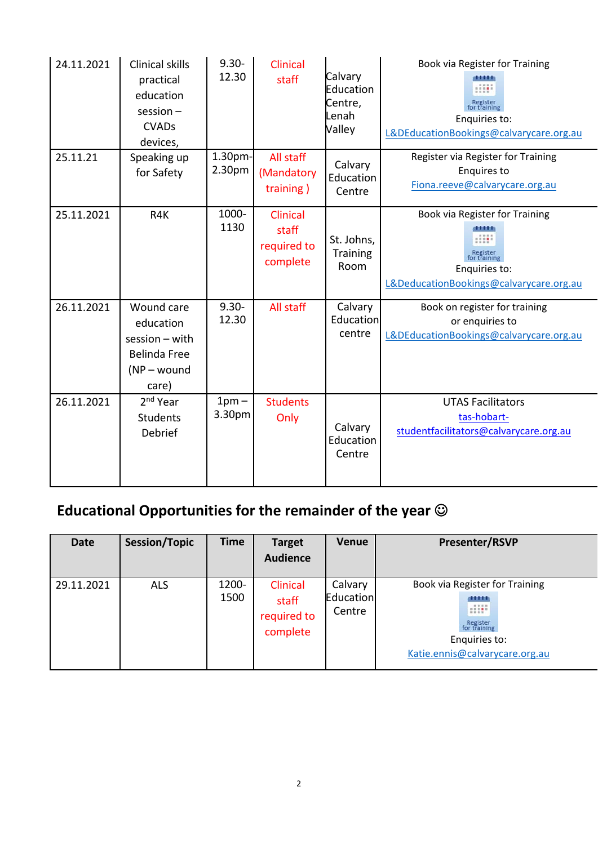| 24.11.2021 | <b>Clinical skills</b><br>practical<br>education<br>$s$ ession $-$<br><b>CVADs</b><br>devices, | $9.30 -$<br>12.30 | Clinical<br>staff                            | Calvary<br>Education<br>Centre,<br>Lenah<br>Valley | Book via Register for Training<br>Enquiries to:<br>L&DEducationBookings@calvarycare.org.au                |
|------------|------------------------------------------------------------------------------------------------|-------------------|----------------------------------------------|----------------------------------------------------|-----------------------------------------------------------------------------------------------------------|
| 25.11.21   | Speaking up<br>for Safety                                                                      | 1.30pm-<br>2.30pm | All staff<br>(Mandatory<br>training)         | Calvary<br>Education<br>Centre                     | Register via Register for Training<br><b>Enquires to</b><br>Fiona.reeve@calvarycare.org.au                |
| 25.11.2021 | R4K                                                                                            | 1000-<br>1130     | Clinical<br>staff<br>required to<br>complete | St. Johns,<br>Training<br>Room                     | Book via Register for Training<br>or training<br>Enquiries to:<br>L&DeducationBookings@calvarycare.org.au |
| 26.11.2021 | Wound care<br>education<br>$session - with$<br><b>Belinda Free</b><br>$(NP - wound)$<br>care)  | $9.30 -$<br>12.30 | All staff                                    | Calvary<br>Education<br>centre                     | Book on register for training<br>or enquiries to<br>L&DEducationBookings@calvarycare.org.au               |
| 26.11.2021 | 2 <sup>nd</sup> Year<br><b>Students</b><br>Debrief                                             | $1pm -$<br>3.30pm | <b>Students</b><br>Only                      | Calvary<br>Education<br>Centre                     | <b>UTAS Facilitators</b><br>tas-hobart-<br>studentfacilitators@calvarycare.org.au                         |

## **Educational Opportunities for the remainder of the year**

| <b>Date</b> | <b>Session/Topic</b> | <b>Time</b>   | <b>Target</b><br><b>Audience</b>             | <b>Venue</b>                   | <b>Presenter/RSVP</b>                                                                                                           |
|-------------|----------------------|---------------|----------------------------------------------|--------------------------------|---------------------------------------------------------------------------------------------------------------------------------|
| 29.11.2021  | <b>ALS</b>           | 1200-<br>1500 | Clinical<br>staff<br>required to<br>complete | Calvary<br>Education<br>Centre | Book via Register for Training<br>11111<br>diff'<br>Register<br>for training<br>Enquiries to:<br>Katie.ennis@calvarycare.org.au |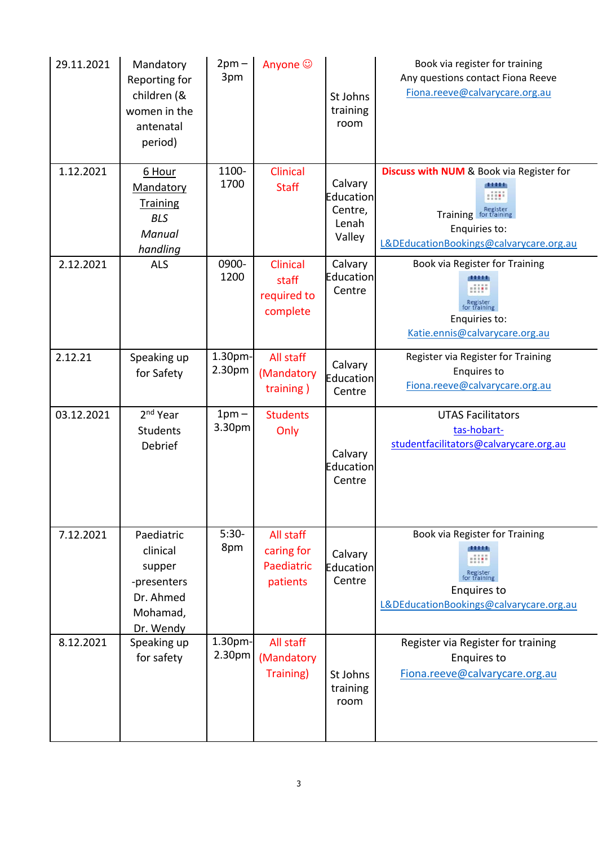| 29.11.2021 | Mandatory<br>Reporting for<br>children (&<br>women in the<br>antenatal<br>period)     | $2pm -$<br>3pm    | Anyone ©                                          | St Johns<br>training<br>room                       | Book via register for training<br>Any questions contact Fiona Reeve<br>Fiona.reeve@calvarycare.org.au                                        |
|------------|---------------------------------------------------------------------------------------|-------------------|---------------------------------------------------|----------------------------------------------------|----------------------------------------------------------------------------------------------------------------------------------------------|
| 1.12.2021  | 6 Hour<br>Mandatory<br><b>Training</b><br><b>BLS</b><br>Manual<br>handling            | 1100-<br>1700     | <b>Clinical</b><br><b>Staff</b>                   | Calvary<br>Education<br>Centre,<br>Lenah<br>Valley | <b>Discuss with NUM &amp; Book via Register for</b><br>Training for training<br>Enquiries to:<br>L&DEducationBookings@calvarycare.org.au     |
| 2.12.2021  | <b>ALS</b>                                                                            | 0900-<br>1200     | Clinical<br>staff<br>required to<br>complete      | Calvary<br>Education<br>Centre                     | Book via Register for Training<br>Register<br>for training<br>Enquiries to:<br>Katie.ennis@calvarycare.org.au                                |
| 2.12.21    | Speaking up<br>for Safety                                                             | 1.30pm-<br>2.30pm | All staff<br>(Mandatory<br>training)              | Calvary<br>Education<br>Centre                     | Register via Register for Training<br><b>Enquires to</b><br>Fiona.reeve@calvarycare.org.au                                                   |
| 03.12.2021 | 2 <sup>nd</sup> Year<br><b>Students</b><br>Debrief                                    | $1pm -$<br>3.30pm | <b>Students</b><br>Only                           | Calvary<br>Education<br>Centre                     | <b>UTAS Facilitators</b><br>tas-hobart-<br>studentfacilitators@calvarycare.org.au                                                            |
| 7.12.2021  | Paediatric<br>clinical<br>supper<br>-presenters<br>Dr. Ahmed<br>Mohamad,<br>Dr. Wendy | $5:30-$<br>8pm    | All staff<br>caring for<br>Paediatric<br>patients | Calvary<br>Education<br>Centre                     | Book via Register for Training<br>$\frac{1}{2}$<br>Register<br>for training<br><b>Enquires to</b><br>L&DEducationBookings@calvarycare.org.au |
| 8.12.2021  | Speaking up<br>for safety                                                             | 1.30pm-<br>2.30pm | All staff<br>(Mandatory<br>Training)              | St Johns<br>training<br>room                       | Register via Register for training<br><b>Enquires to</b><br>Fiona.reeve@calvarycare.org.au                                                   |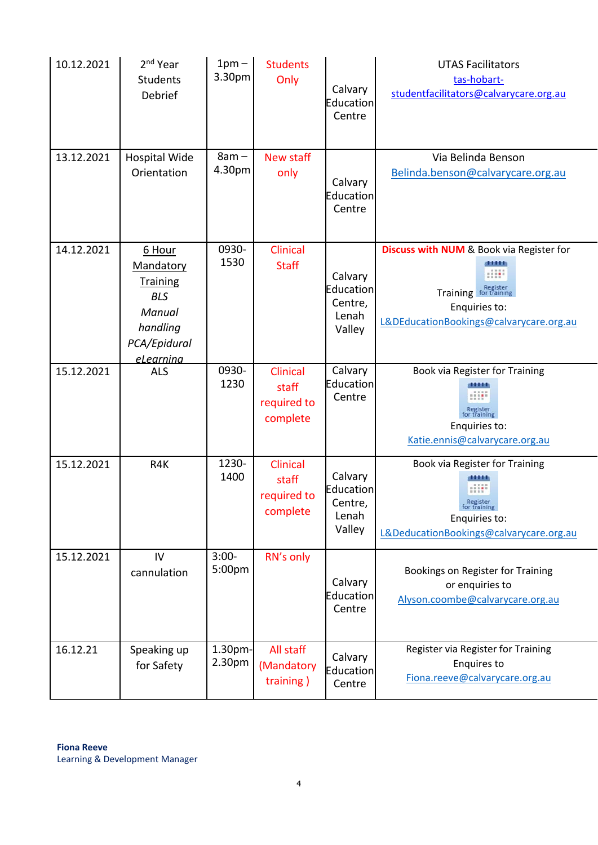| 10.12.2021 | 2 <sup>nd</sup> Year<br><b>Students</b><br>Debrief                                                      | $1pm -$<br>3.30pm | <b>Students</b><br>Only                             | Calvary<br>Education<br>Centre                     | <b>UTAS Facilitators</b><br>tas-hobart-<br>studentfacilitators@calvarycare.org.au                                                            |
|------------|---------------------------------------------------------------------------------------------------------|-------------------|-----------------------------------------------------|----------------------------------------------------|----------------------------------------------------------------------------------------------------------------------------------------------|
| 13.12.2021 | <b>Hospital Wide</b><br>Orientation                                                                     | $8am -$<br>4.30pm | <b>New staff</b><br>only                            | Calvary<br>Education<br>Centre                     | Via Belinda Benson<br>Belinda.benson@calvarycare.org.au                                                                                      |
| 14.12.2021 | 6 Hour<br>Mandatory<br><b>Training</b><br><b>BLS</b><br>Manual<br>handling<br>PCA/Epidural<br>eLearnina | 0930-<br>1530     | Clinical<br><b>Staff</b>                            | Calvary<br>Education<br>Centre,<br>Lenah<br>Valley | <b>Discuss with NUM &amp; Book via Register for</b><br><br>Training for training<br>Enquiries to:<br>L&DEducationBookings@calvarycare.org.au |
| 15.12.2021 | <b>ALS</b>                                                                                              | 0930-<br>1230     | <b>Clinical</b><br>staff<br>required to<br>complete | Calvary<br>Education<br>Centre                     | Book via Register for Training<br>Register<br>for training<br>Enquiries to:<br>Katie.ennis@calvarycare.org.au                                |
| 15.12.2021 | R4K                                                                                                     | 1230-<br>1400     | <b>Clinical</b><br>staff<br>required to<br>complete | Calvary<br>Education<br>Centre,<br>Lenah<br>Valley | Book via Register for Training<br>m<br>Register<br>for training<br>Enquiries to:<br>L&DeducationBookings@calvarycare.org.au                  |
| 15.12.2021 | IV<br>cannulation                                                                                       | $3:00-$<br>5:00pm | RN's only                                           | Calvary<br><b>Education</b><br>Centre              | Bookings on Register for Training<br>or enquiries to<br>Alyson.coombe@calvarycare.org.au                                                     |
| 16.12.21   | Speaking up<br>for Safety                                                                               | 1.30pm-<br>2.30pm | All staff<br>(Mandatory<br>training)                | Calvary<br>Education<br>Centre                     | Register via Register for Training<br><b>Enquires to</b><br>Fiona.reeve@calvarycare.org.au                                                   |